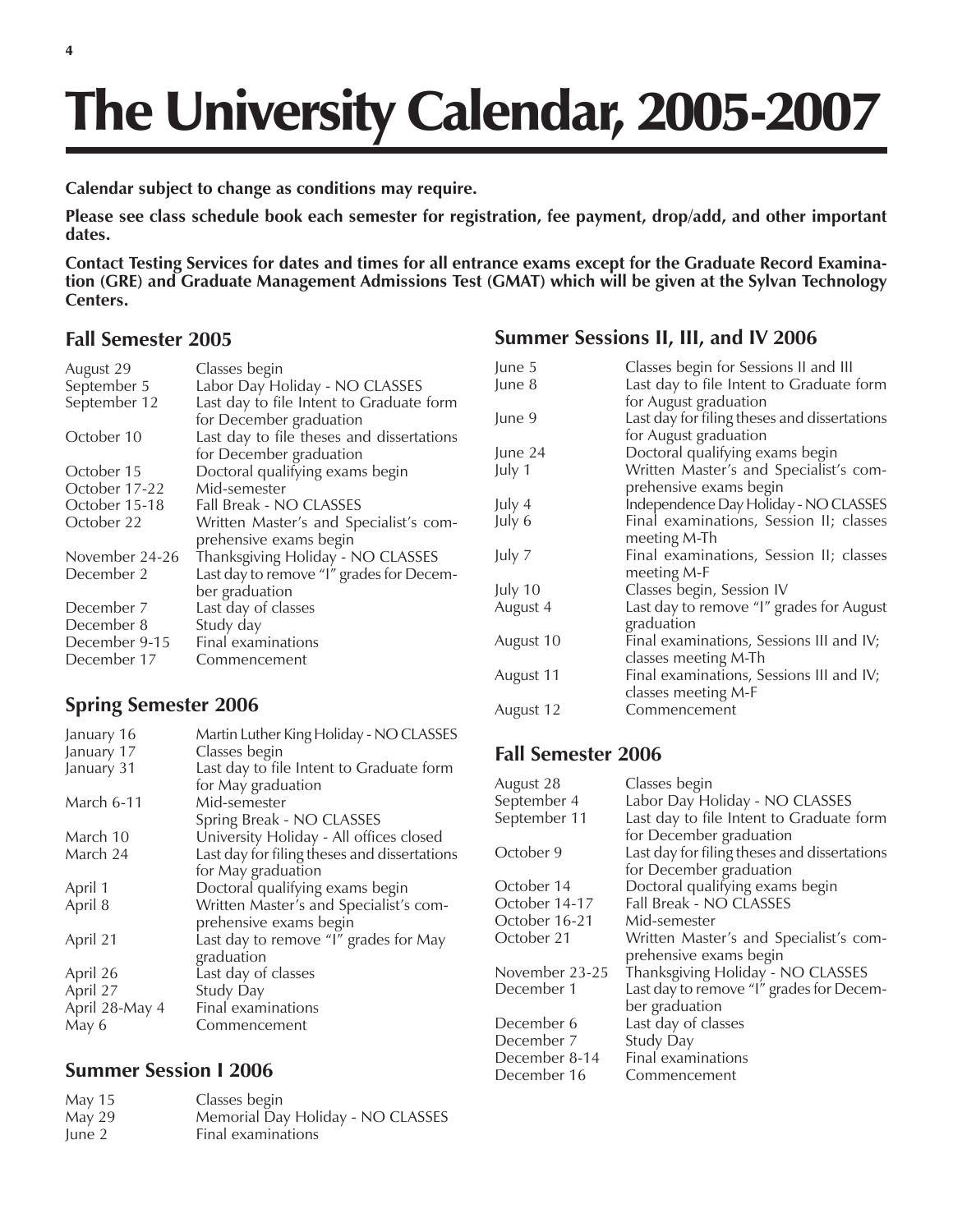# The University Calendar, 2005-2007

**Calendar subject to change as conditions may require.**

**Please see class schedule book each semester for registration, fee payment, drop/add, and other important dates.**

**Contact Testing Services for dates and times for all entrance exams except for the Graduate Record Examination (GRE) and Graduate Management Admissions Test (GMAT) which will be given at the Sylvan Technology Centers.**

#### **Fall Semester 2005**

| August 29      | Classes begin                             |
|----------------|-------------------------------------------|
| September 5    | Labor Day Holiday - NO CLASSES            |
| September 12   | Last day to file Intent to Graduate form  |
|                | for December graduation                   |
| October 10     | Last day to file theses and dissertations |
|                | for December graduation                   |
| October 15     | Doctoral qualifying exams begin           |
| October 17-22  | Mid-semester                              |
| October 15-18  | Fall Break - NO CLASSES                   |
| October 22     | Written Master's and Specialist's com-    |
|                | prehensive exams begin                    |
| November 24-26 | Thanksgiving Holiday - NO CLASSES         |
| December 2     | Last day to remove "I" grades for Decem-  |
|                | ber graduation                            |
| December 7     | Last day of classes                       |
| December 8     | Study day                                 |
| December 9-15  | Final examinations                        |
| December 17    | Commencement                              |
|                |                                           |
|                |                                           |

# **Spring Semester 2006**

| January 16     | Martin Luther King Holiday - NO CLASSES      |
|----------------|----------------------------------------------|
| January 17     | Classes begin                                |
| January 31     | Last day to file Intent to Graduate form     |
|                | for May graduation                           |
| March 6-11     | Mid-semester                                 |
|                | Spring Break - NO CLASSES                    |
| March 10       | University Holiday - All offices closed      |
| March 24       | Last day for filing theses and dissertations |
|                | for May graduation                           |
| April 1        | Doctoral qualifying exams begin              |
| April 8        | Written Master's and Specialist's com-       |
|                | prehensive exams begin                       |
| April 21       | Last day to remove "I" grades for May        |
|                | graduation                                   |
| April 26       | Last day of classes                          |
| April 27       | Study Day                                    |
| April 28-May 4 | Final examinations                           |
| May 6          | Commencement                                 |
|                |                                              |

# **Summer Session I 2006**

| May 15 | Classes begin                     |
|--------|-----------------------------------|
| May 29 | Memorial Day Holiday - NO CLASSES |
| June 2 | Final examinations                |

#### **Summer Sessions II, III, and IV 2006**

| June 5    | Classes begin for Sessions II and III        |
|-----------|----------------------------------------------|
| June 8    | Last day to file Intent to Graduate form     |
|           | for August graduation                        |
| June 9    | Last day for filing theses and dissertations |
|           | for August graduation                        |
| June 24   | Doctoral qualifying exams begin              |
| July 1    | Written Master's and Specialist's com-       |
|           | prehensive exams begin                       |
| July 4    | Independence Day Holiday - NO CLASSES        |
| July 6    | Final examinations, Session II; classes      |
|           | meeting M-Th                                 |
| July 7    | Final examinations, Session II; classes      |
|           | meeting M-F                                  |
| July 10   | Classes begin, Session IV                    |
| August 4  | Last day to remove "I" grades for August     |
|           | graduation                                   |
| August 10 | Final examinations, Sessions III and IV;     |
|           | classes meeting M-Th                         |
| August 11 | Final examinations, Sessions III and IV;     |
|           | classes meeting M-F                          |
| August 12 | Commencement                                 |

# **Fall Semester 2006**

| August 28      | Classes begin                                |
|----------------|----------------------------------------------|
| September 4    | Labor Day Holiday - NO CLASSES               |
| September 11   | Last day to file Intent to Graduate form     |
|                | for December graduation                      |
| October 9      | Last day for filing theses and dissertations |
|                | for December graduation                      |
| October 14     | Doctoral qualifying exams begin              |
| October 14-17  | Fall Break - NO CLASSES                      |
| October 16-21  | Mid-semester                                 |
| October 21     | Written Master's and Specialist's com-       |
|                | prehensive exams begin                       |
| November 23-25 | Thanksgiving Holiday - NO CLASSES            |
| December 1     | Last day to remove "I" grades for Decem-     |
|                | ber graduation                               |
| December 6     | Last day of classes                          |
| December 7     | Study Day                                    |
| December 8-14  | Final examinations                           |
| December 16    | Commencement                                 |